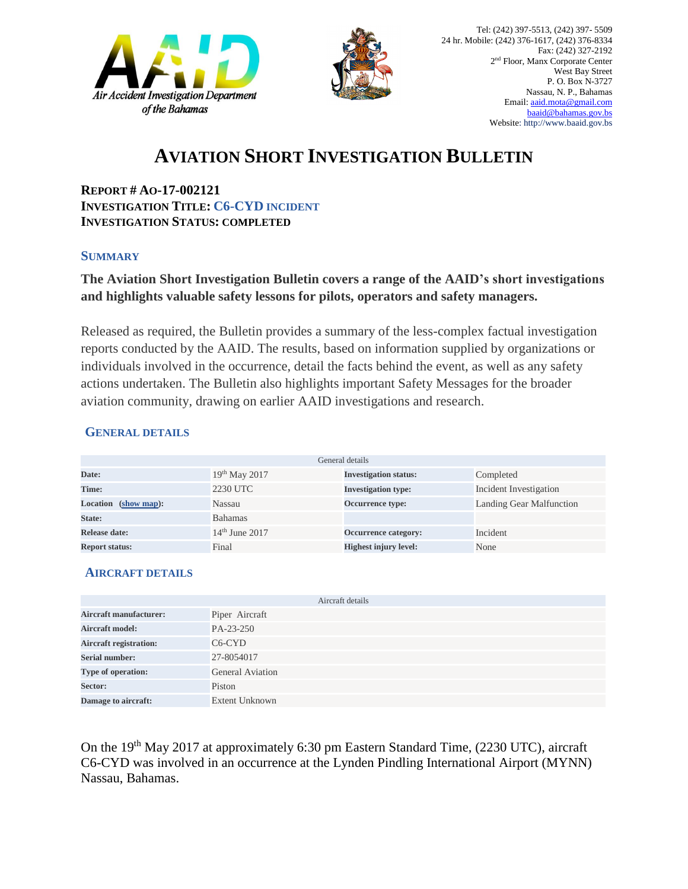



# **AVIATION SHORT INVESTIGATION BULLETIN**

**REPORT # AO-17-002121 INVESTIGATION TITLE: C6-CYD INCIDENT INVESTIGATION STATUS: COMPLETED** 

#### **SUMMARY**

### **The Aviation Short Investigation Bulletin covers a range of the AAID's short investigations and highlights valuable safety lessons for pilots, operators and safety managers.**

Released as required, the Bulletin provides a summary of the less-complex factual investigation reports conducted by the AAID. The results, based on information supplied by organizations or individuals involved in the occurrence, detail the facts behind the event, as well as any safety actions undertaken. The Bulletin also highlights important Safety Messages for the broader aviation community, drawing on earlier AAID investigations and research.

### **GENERAL DETAILS**

| General details       |                  |                              |                                 |
|-----------------------|------------------|------------------------------|---------------------------------|
| Date:                 | $19th$ May 2017  | <b>Investigation status:</b> | Completed                       |
| Time:                 | 2230 UTC         | <b>Investigation type:</b>   | Incident Investigation          |
| Location (show map):  | Nassau           | <b>Occurrence type:</b>      | <b>Landing Gear Malfunction</b> |
| State:                | <b>Bahamas</b>   |                              |                                 |
| Release date:         | $14th$ June 2017 | Occurrence category:         | Incident                        |
| <b>Report status:</b> | Final            | <b>Highest injury level:</b> | None                            |

### **AIRCRAFT DETAILS**

|                               | Aircraft details      |
|-------------------------------|-----------------------|
| <b>Aircraft manufacturer:</b> | Piper Aircraft        |
| <b>Aircraft model:</b>        | PA-23-250             |
| <b>Aircraft registration:</b> | $C6-CYD$              |
| <b>Serial number:</b>         | 27-8054017            |
| Type of operation:            | General Aviation      |
| Sector:                       | Piston                |
| Damage to aircraft:           | <b>Extent Unknown</b> |

On the 19<sup>th</sup> May 2017 at approximately 6:30 pm Eastern Standard Time, (2230 UTC), aircraft C6-CYD was involved in an occurrence at the Lynden Pindling International Airport (MYNN) Nassau, Bahamas.